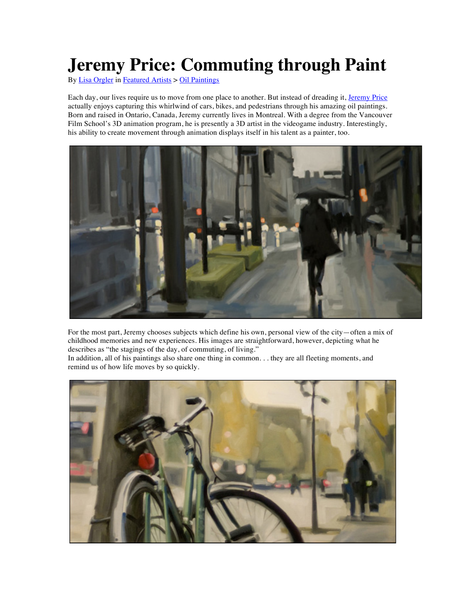## **Jeremy Price: Commuting through Paint**

By Lisa Orgler in Featured Artists > Oil Paintings

Each day, our lives require us to move from one place to another. But instead of dreading it, Jeremy Price actually enjoys capturing this whirlwind of cars, bikes, and pedestrians through his amazing oil paintings. Born and raised in Ontario, Canada, Jeremy currently lives in Montreal. With a degree from the Vancouver Film School's 3D animation program, he is presently a 3D artist in the videogame industry. Interestingly, his ability to create movement through animation displays itself in his talent as a painter, too.



For the most part, Jeremy chooses subjects which define his own, personal view of the city-often a mix of childhood memories and new experiences. His images are straightforward, however, depicting what he describes as "the stagings of the day, of commuting, of living."

In addition, all of his paintings also share one thing in common. . . they are all fleeting moments, and remind us of how life moves by so quickly.